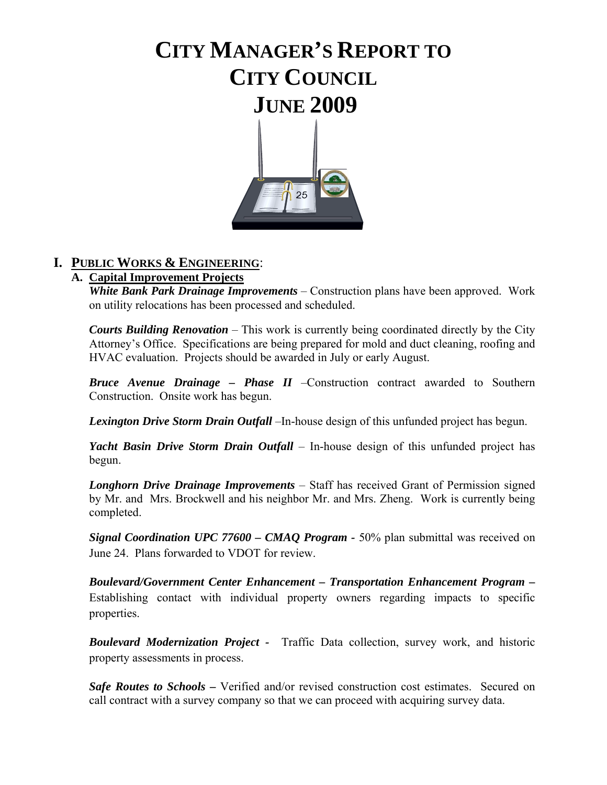# **CITY MANAGER'S REPORT TO CITY COUNCIL JUNE 2009**



## **I. PUBLIC WORKS & ENGINEERING**:

#### **A. Capital Improvement Projects**

*White Bank Park Drainage Improvements* – Construction plans have been approved. Work on utility relocations has been processed and scheduled.

*Courts Building Renovation* – This work is currently being coordinated directly by the City Attorney's Office. Specifications are being prepared for mold and duct cleaning, roofing and HVAC evaluation. Projects should be awarded in July or early August.

*Bruce Avenue Drainage – Phase II* –Construction contract awarded to Southern Construction. Onsite work has begun.

*Lexington Drive Storm Drain Outfall* –In-house design of this unfunded project has begun.

*Yacht Basin Drive Storm Drain Outfall* – In-house design of this unfunded project has begun.

*Longhorn Drive Drainage Improvements* – Staff has received Grant of Permission signed by Mr. and Mrs. Brockwell and his neighbor Mr. and Mrs. Zheng. Work is currently being completed.

*Signal Coordination UPC 77600 – CMAQ Program - 50%* plan submittal was received on June 24. Plans forwarded to VDOT for review.

*Boulevard/Government Center Enhancement – Transportation Enhancement Program –* Establishing contact with individual property owners regarding impacts to specific properties.

*Boulevard Modernization Project -* Traffic Data collection, survey work, and historic property assessments in process.

*Safe Routes to Schools* **–** Verified and/or revised construction cost estimates. Secured on call contract with a survey company so that we can proceed with acquiring survey data.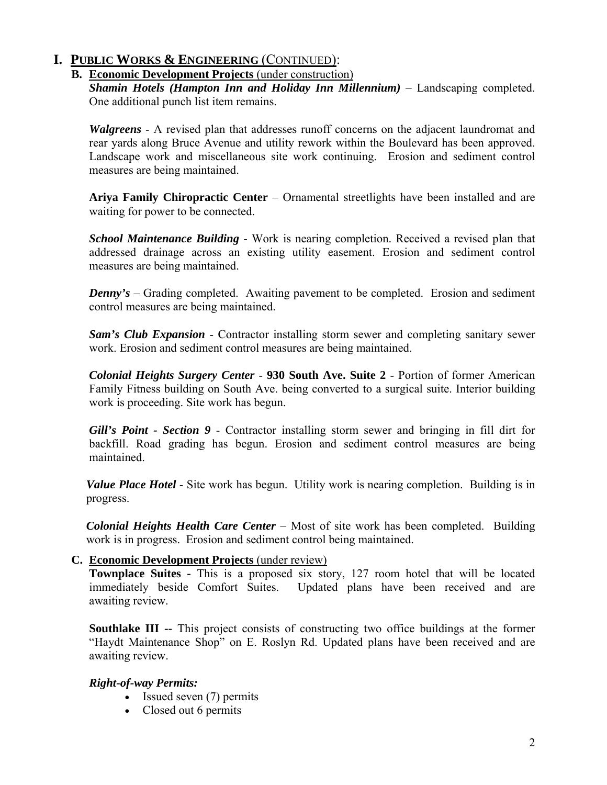#### **B. Economic Development Projects** (under construction)

*Shamin Hotels (Hampton Inn and Holiday Inn Millennium)* – Landscaping completed. One additional punch list item remains.

*Walgreens* - A revised plan that addresses runoff concerns on the adjacent laundromat and rear yards along Bruce Avenue and utility rework within the Boulevard has been approved. Landscape work and miscellaneous site work continuing. Erosion and sediment control measures are being maintained.

**Ariya Family Chiropractic Center** – Ornamental streetlights have been installed and are waiting for power to be connected.

*School Maintenance Building* - Work is nearing completion. Received a revised plan that addressed drainage across an existing utility easement. Erosion and sediment control measures are being maintained.

*Denny's* – Grading completed. Awaiting pavement to be completed. Erosion and sediment control measures are being maintained.

*Sam's Club Expansion* - Contractor installing storm sewer and completing sanitary sewer work. Erosion and sediment control measures are being maintained.

*Colonial Heights Surgery Center* - **930 South Ave. Suite 2** - Portion of former American Family Fitness building on South Ave. being converted to a surgical suite. Interior building work is proceeding. Site work has begun.

*Gill's Point - Section 9* - Contractor installing storm sewer and bringing in fill dirt for backfill. Road grading has begun. Erosion and sediment control measures are being maintained.

*Value Place Hotel* - Site work has begun. Utility work is nearing completion. Building is in progress.

*Colonial Heights Health Care Center* – Most of site work has been completed. Building work is in progress. Erosion and sediment control being maintained.

#### **C. Economic Development Projects** (under review)

**Townplace Suites -** This is a proposed six story, 127 room hotel that will be located immediately beside Comfort Suites. Updated plans have been received and are awaiting review.

**Southlake III --** This project consists of constructing two office buildings at the former "Haydt Maintenance Shop" on E. Roslyn Rd. Updated plans have been received and are awaiting review.

#### *Right-of-way Permits:*

- Issued seven (7) permits
- Closed out 6 permits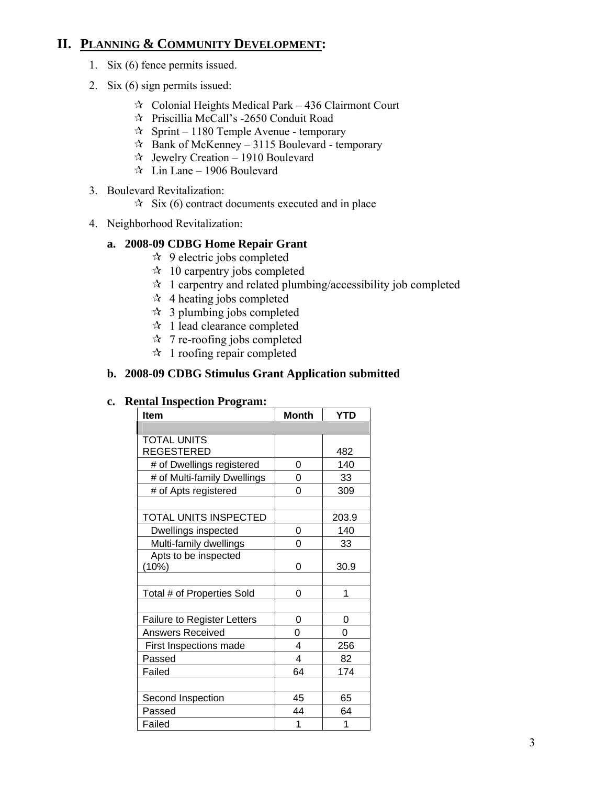## **II. PLANNING & COMMUNITY DEVELOPMENT:**

- 1. Six (6) fence permits issued.
- 2. Six (6) sign permits issued:
	- $\approx$  Colonial Heights Medical Park 436 Clairmont Court
	- Priscillia McCall's -2650 Conduit Road
	- $\approx$  Sprint 1180 Temple Avenue temporary
	- $\approx$  Bank of McKenney 3115 Boulevard temporary
	- $\approx$  Jewelry Creation 1910 Boulevard
	- $\approx$  Lin Lane 1906 Boulevard
- 3. Boulevard Revitalization:
	- $\hat{X}$  Six (6) contract documents executed and in place
- 4. Neighborhood Revitalization:

#### **a. 2008-09 CDBG Home Repair Grant**

- $\star$  9 electric jobs completed
- $\approx$  10 carpentry jobs completed
- $\star$  1 carpentry and related plumbing/accessibility job completed
- $\approx$  4 heating jobs completed
- $\approx$  3 plumbing jobs completed
- $\star$  1 lead clearance completed
- $\approx$  7 re-roofing jobs completed
- $\approx$  1 roofing repair completed

#### **b. 2008-09 CDBG Stimulus Grant Application submitted**

#### **c. Rental Inspection Program:**

| <b>Item</b>                        | <b>Month</b> | <b>YTD</b> |
|------------------------------------|--------------|------------|
|                                    |              |            |
| <b>TOTAL UNITS</b>                 |              |            |
| <b>REGESTERED</b>                  |              | 482        |
| # of Dwellings registered          | 0            | 140        |
| # of Multi-family Dwellings        | 0            | 33         |
| # of Apts registered               | 0            | 309        |
|                                    |              |            |
| TOTAL UNITS INSPECTED              |              | 203.9      |
| Dwellings inspected                | 0            | 140        |
| Multi-family dwellings             | 0            | 33         |
| Apts to be inspected               |              |            |
| (10%)                              | 0            | 30.9       |
|                                    |              |            |
| Total # of Properties Sold         | 0            | 1          |
|                                    |              |            |
| <b>Failure to Register Letters</b> | 0            | 0          |
| <b>Answers Received</b>            | 0            | 0          |
| First Inspections made             | 4            | 256        |
| Passed                             | 4            | 82         |
| Failed                             | 64           | 174        |
|                                    |              |            |
| Second Inspection                  | 45           | 65         |
| Passed                             | 44           | 64         |
| Failed                             | 1            | 1          |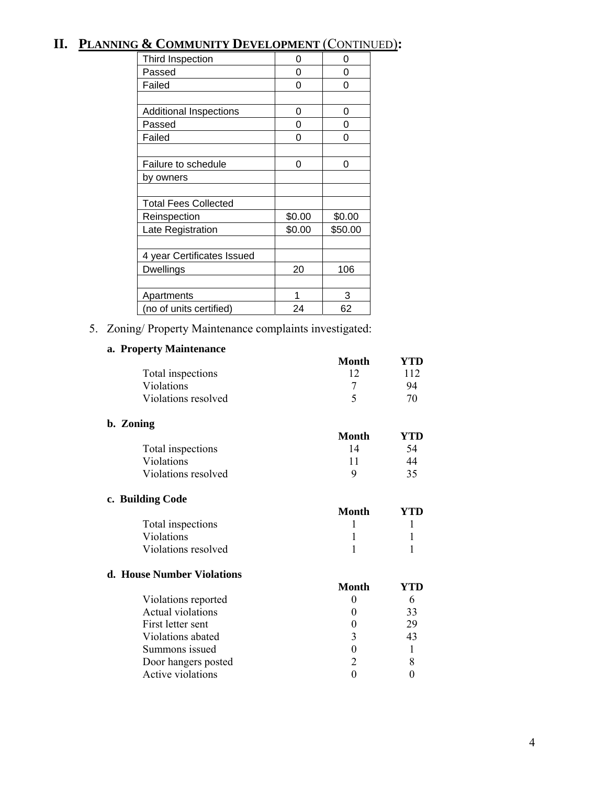## **II. PLANNING & COMMUNITY DEVELOPMENT** (CONTINUED)**:**

| Third Inspection              | 0      | 0       |
|-------------------------------|--------|---------|
| Passed                        | 0      | 0       |
| Failed                        | ი      | 0       |
|                               |        |         |
| <b>Additional Inspections</b> | 0      | 0       |
| Passed                        | 0      | 0       |
| Failed                        | ი      | O       |
|                               |        |         |
| Failure to schedule           | 0      | 0       |
| by owners                     |        |         |
|                               |        |         |
| <b>Total Fees Collected</b>   |        |         |
| Reinspection                  | \$0.00 | \$0.00  |
| Late Registration             | \$0.00 | \$50.00 |
|                               |        |         |
| 4 year Certificates Issued    |        |         |
| <b>Dwellings</b>              | 20     | 106     |
|                               |        |         |
| Apartments                    | 1      | 3       |
| (no of units certified)       | 24     | 62      |

5. Zoning/ Property Maintenance complaints investigated:

#### **a. Property Maintenance**

|                     | <b>Month</b> | YTD |
|---------------------|--------------|-----|
| Total inspections   | 12           | 112 |
| Violations          |              | 94  |
| Violations resolved | 5            | 70  |
| b. Zoning           |              |     |
|                     | Month        | YTD |
| Total inspections   | 14           | 54  |
| Violations          | 11           | 44  |
| Violations resolved | 9            | 35  |
| c. Building Code    |              |     |
|                     | Month        | YTD |
| Total inspections   |              |     |
| Violations          |              |     |
| Violations resolved |              |     |

#### **d. House Number Violations**

| 196 гу <b>ципрот у Гопито</b> но |                             |     |
|----------------------------------|-----------------------------|-----|
|                                  | Month                       | YTD |
| Violations reported              |                             |     |
| Actual violations                |                             | 33  |
| First letter sent                |                             | 29  |
| Violations abated                | 3                           | 43  |
| Summons issued                   |                             |     |
| Door hangers posted              | $\mathcal{D}_{\mathcal{A}}$ |     |
| Active violations                |                             |     |
|                                  |                             |     |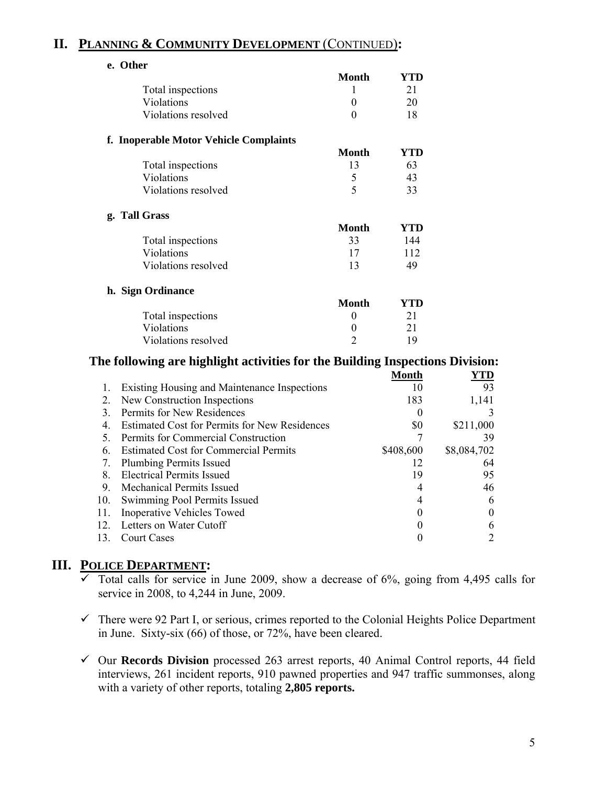## **II. PLANNING & COMMUNITY DEVELOPMENT** (CONTINUED)**:**

| e. Other                               | <b>Month</b>   | YTD        |
|----------------------------------------|----------------|------------|
| Total inspections                      | 1              | 21         |
| Violations                             | $\theta$       | 20         |
| Violations resolved                    | $\theta$       | 18         |
| f. Inoperable Motor Vehicle Complaints |                |            |
|                                        | <b>Month</b>   | YTD        |
| Total inspections                      | 13             | 63         |
| Violations                             | 5              | 43         |
| Violations resolved                    | 5              | 33         |
| g. Tall Grass                          |                |            |
|                                        | <b>Month</b>   | YTD        |
| Total inspections                      | 33             | 144        |
| Violations                             | 17             | 112        |
| Violations resolved                    | 13             | 49         |
| h. Sign Ordinance                      |                |            |
|                                        | <b>Month</b>   | <b>YTD</b> |
| Total inspections                      | 0              | 21         |
| Violations                             | $\theta$       | 21         |
| Violations resolved                    | $\overline{2}$ | 19         |

#### **The following are highlight activities for the Building Inspections Division:**

|     |                                                      | Month     | YTD         |
|-----|------------------------------------------------------|-----------|-------------|
|     | Existing Housing and Maintenance Inspections         | 10        | 93          |
| 2.  | New Construction Inspections                         | 183       | 1,141       |
| 3   | Permits for New Residences                           | 0         |             |
| 4.  | <b>Estimated Cost for Permits for New Residences</b> | \$0       | \$211,000   |
| 5.  | Permits for Commercial Construction                  |           | 39          |
| 6.  | <b>Estimated Cost for Commercial Permits</b>         | \$408,600 | \$8,084,702 |
| 7.  | <b>Plumbing Permits Issued</b>                       | 12        | 64          |
| 8.  | <b>Electrical Permits Issued</b>                     | 19        | 95          |
| 9.  | <b>Mechanical Permits Issued</b>                     | 4         | 46          |
| 10. | Swimming Pool Permits Issued                         | 4         | 6           |
| 11. | <b>Inoperative Vehicles Towed</b>                    |           | $\theta$    |
| 12. | Letters on Water Cutoff                              | $\theta$  | 6           |
| 13. | <b>Court Cases</b>                                   |           |             |

#### **III. POLICE DEPARTMENT:**

- $\overline{\smash[b]{\mathsf{Total} \text{ calls for service}}\ }$  in June 2009, show a decrease of 6%, going from 4,495 calls for service in 2008, to 4,244 in June, 2009.
- $\checkmark$  There were 92 Part I, or serious, crimes reported to the Colonial Heights Police Department in June. Sixty-six (66) of those, or 72%, have been cleared.
- 9 Our **Records Division** processed 263 arrest reports, 40 Animal Control reports, 44 field interviews, 261 incident reports, 910 pawned properties and 947 traffic summonses, along with a variety of other reports, totaling **2,805 reports.**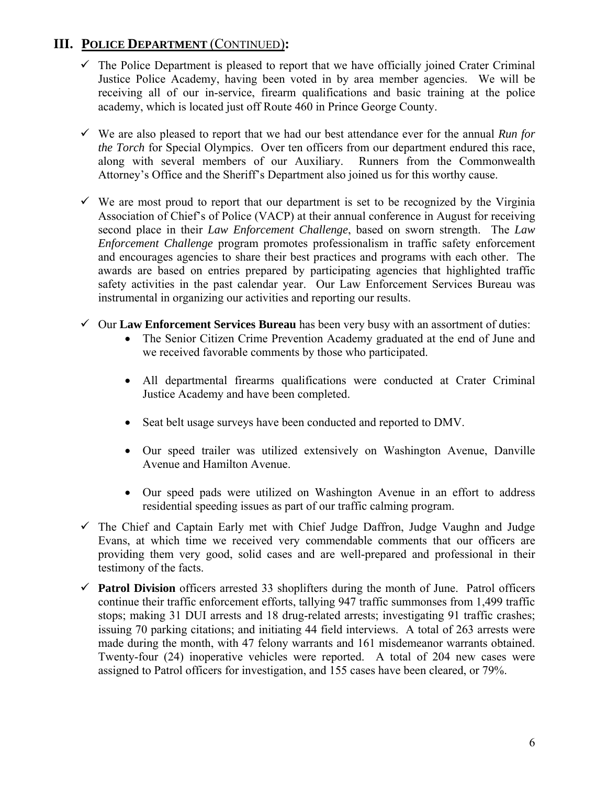## **III. POLICE DEPARTMENT** (CONTINUED)**:**

- $\checkmark$  The Police Department is pleased to report that we have officially joined Crater Criminal Justice Police Academy, having been voted in by area member agencies. We will be receiving all of our in-service, firearm qualifications and basic training at the police academy, which is located just off Route 460 in Prince George County.
- $\checkmark$  We are also pleased to report that we had our best attendance ever for the annual *Run for the Torch* for Special Olympics. Over ten officers from our department endured this race, along with several members of our Auxiliary. Runners from the Commonwealth Attorney's Office and the Sheriff's Department also joined us for this worthy cause.
- $\checkmark$  We are most proud to report that our department is set to be recognized by the Virginia Association of Chief's of Police (VACP) at their annual conference in August for receiving second place in their *Law Enforcement Challenge*, based on sworn strength. The *Law Enforcement Challenge* program promotes professionalism in traffic safety enforcement and encourages agencies to share their best practices and programs with each other. The awards are based on entries prepared by participating agencies that highlighted traffic safety activities in the past calendar year. Our Law Enforcement Services Bureau was instrumental in organizing our activities and reporting our results.
- $\checkmark$  Our **Law Enforcement Services Bureau** has been very busy with an assortment of duties:
	- The Senior Citizen Crime Prevention Academy graduated at the end of June and we received favorable comments by those who participated.
	- All departmental firearms qualifications were conducted at Crater Criminal Justice Academy and have been completed.
	- Seat belt usage surveys have been conducted and reported to DMV.
	- Our speed trailer was utilized extensively on Washington Avenue, Danville Avenue and Hamilton Avenue.
	- Our speed pads were utilized on Washington Avenue in an effort to address residential speeding issues as part of our traffic calming program.
- $\checkmark$  The Chief and Captain Early met with Chief Judge Daffron, Judge Vaughn and Judge Evans, at which time we received very commendable comments that our officers are providing them very good, solid cases and are well-prepared and professional in their testimony of the facts.
- $\checkmark$  **Patrol Division** officers arrested 33 shoplifters during the month of June. Patrol officers continue their traffic enforcement efforts, tallying 947 traffic summonses from 1,499 traffic stops; making 31 DUI arrests and 18 drug-related arrests; investigating 91 traffic crashes; issuing 70 parking citations; and initiating 44 field interviews. A total of 263 arrests were made during the month, with 47 felony warrants and 161 misdemeanor warrants obtained. Twenty-four (24) inoperative vehicles were reported. A total of 204 new cases were assigned to Patrol officers for investigation, and 155 cases have been cleared, or 79%.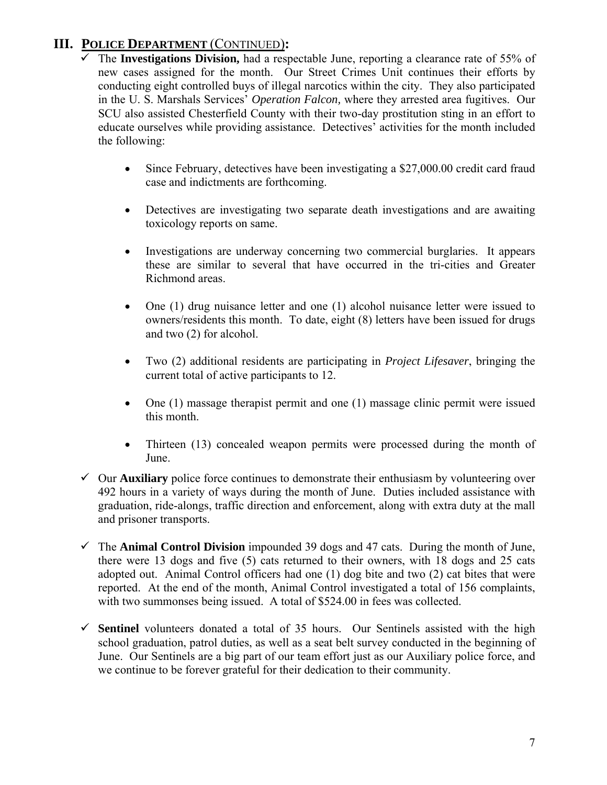## **III. POLICE DEPARTMENT** (CONTINUED)**:**

- 9 The **Investigations Division,** had a respectable June, reporting a clearance rate of 55% of new cases assigned for the month. Our Street Crimes Unit continues their efforts by conducting eight controlled buys of illegal narcotics within the city. They also participated in the U. S. Marshals Services' *Operation Falcon,* where they arrested area fugitives. Our SCU also assisted Chesterfield County with their two-day prostitution sting in an effort to educate ourselves while providing assistance. Detectives' activities for the month included the following:
	- Since February, detectives have been investigating a \$27,000.00 credit card fraud case and indictments are forthcoming.
	- Detectives are investigating two separate death investigations and are awaiting toxicology reports on same.
	- Investigations are underway concerning two commercial burglaries. It appears these are similar to several that have occurred in the tri-cities and Greater Richmond areas.
	- One (1) drug nuisance letter and one (1) alcohol nuisance letter were issued to owners/residents this month. To date, eight (8) letters have been issued for drugs and two (2) for alcohol.
	- Two (2) additional residents are participating in *Project Lifesaver*, bringing the current total of active participants to 12.
	- One (1) massage therapist permit and one (1) massage clinic permit were issued this month.
	- Thirteen (13) concealed weapon permits were processed during the month of June.
- $\checkmark$  Our **Auxiliary** police force continues to demonstrate their enthusiasm by volunteering over 492 hours in a variety of ways during the month of June. Duties included assistance with graduation, ride-alongs, traffic direction and enforcement, along with extra duty at the mall and prisoner transports.
- $\checkmark$  The **Animal Control Division** impounded 39 dogs and 47 cats. During the month of June, there were 13 dogs and five (5) cats returned to their owners, with 18 dogs and 25 cats adopted out. Animal Control officers had one (1) dog bite and two (2) cat bites that were reported. At the end of the month, Animal Control investigated a total of 156 complaints, with two summonses being issued. A total of \$524.00 in fees was collected.
- $\checkmark$  Sentinel volunteers donated a total of 35 hours. Our Sentinels assisted with the high school graduation, patrol duties, as well as a seat belt survey conducted in the beginning of June. Our Sentinels are a big part of our team effort just as our Auxiliary police force, and we continue to be forever grateful for their dedication to their community.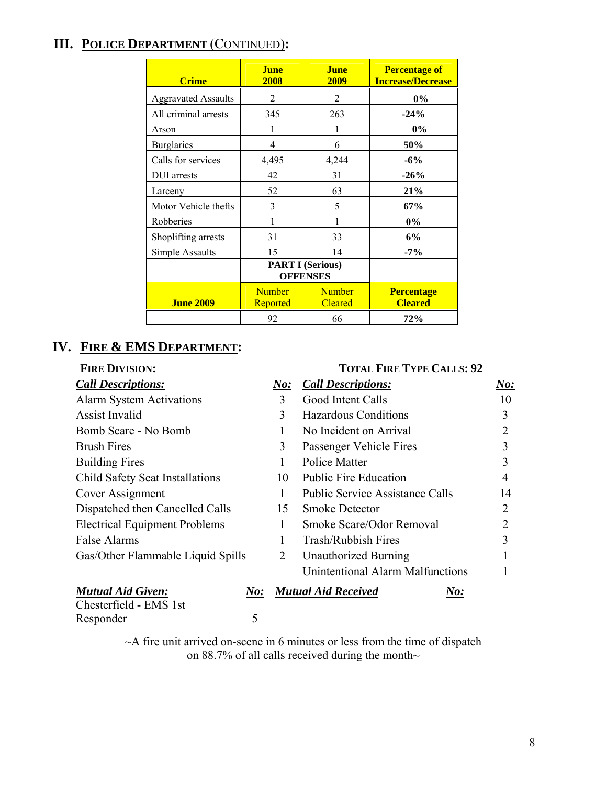## **III. POLICE DEPARTMENT** (CONTINUED)**:**

| <b>Crime</b>               | <b>June</b><br>2008                        | <b>June</b><br>2009             | <b>Percentage of</b><br><b>Increase/Decrease</b> |
|----------------------------|--------------------------------------------|---------------------------------|--------------------------------------------------|
| <b>Aggravated Assaults</b> | $\overline{c}$                             | 2                               | $0\%$                                            |
| All criminal arrests       | 345                                        | 263                             | $-24%$                                           |
| Arson                      | 1                                          |                                 | 0%                                               |
| <b>Burglaries</b>          | 4                                          | 6                               | 50%                                              |
| Calls for services         | 4,495                                      | 4,244                           | $-6%$                                            |
| DUI arrests                | 42                                         | 31                              | $-26%$                                           |
| Larceny                    | 52                                         | 63                              | 21%                                              |
| Motor Vehicle thefts       | 3                                          | 5                               | 67%                                              |
| Robberies                  |                                            |                                 | $0\%$                                            |
| Shoplifting arrests        | 31                                         | 33                              | 6%                                               |
| Simple Assaults            | 15                                         | 14                              | $-7%$                                            |
|                            | <b>PART I (Serious)</b><br><b>OFFENSES</b> |                                 |                                                  |
| <b>June 2009</b>           | <b>Number</b><br><b>Reported</b>           | <b>Number</b><br><b>Cleared</b> | <b>Percentage</b><br><b>Cleared</b>              |
|                            | 92                                         | 66                              | 72%                                              |

## **IV. FIRE & EMS DEPARTMENT:**

| <b>FIRE DIVISION:</b>                |     | <b>TOTAL FIRE TYPE CALLS: 92</b>        |     |
|--------------------------------------|-----|-----------------------------------------|-----|
| <b>Call Descriptions:</b>            | No: | <b>Call Descriptions:</b>               | No: |
| <b>Alarm System Activations</b>      | 3   | Good Intent Calls                       | 10  |
| <b>Assist Invalid</b>                | 3   | <b>Hazardous Conditions</b>             | 3   |
| Bomb Scare - No Bomb                 | 1   | No Incident on Arrival                  | 2   |
| <b>Brush Fires</b>                   | 3   | Passenger Vehicle Fires                 | 3   |
| <b>Building Fires</b>                | 1   | <b>Police Matter</b>                    | 3   |
| Child Safety Seat Installations      | 10  | <b>Public Fire Education</b>            | 4   |
| Cover Assignment                     | 1   | <b>Public Service Assistance Calls</b>  | 14  |
| Dispatched then Cancelled Calls      | 15  | <b>Smoke Detector</b>                   | 2   |
| <b>Electrical Equipment Problems</b> | 1   | Smoke Scare/Odor Removal                | 2   |
| False Alarms                         | 1   | Trash/Rubbish Fires                     | 3   |
| Gas/Other Flammable Liquid Spills    | 2   | <b>Unauthorized Burning</b>             |     |
|                                      |     | <b>Unintentional Alarm Malfunctions</b> |     |
| <b>Mutual Aid Given:</b><br>N o:     |     | <b>Mutual Aid Received</b><br>N o:      |     |
| Chesterfield - EMS 1st               |     |                                         |     |
| 5<br>Responder                       |     |                                         |     |

~A fire unit arrived on-scene in 6 minutes or less from the time of dispatch on 88.7% of all calls received during the month~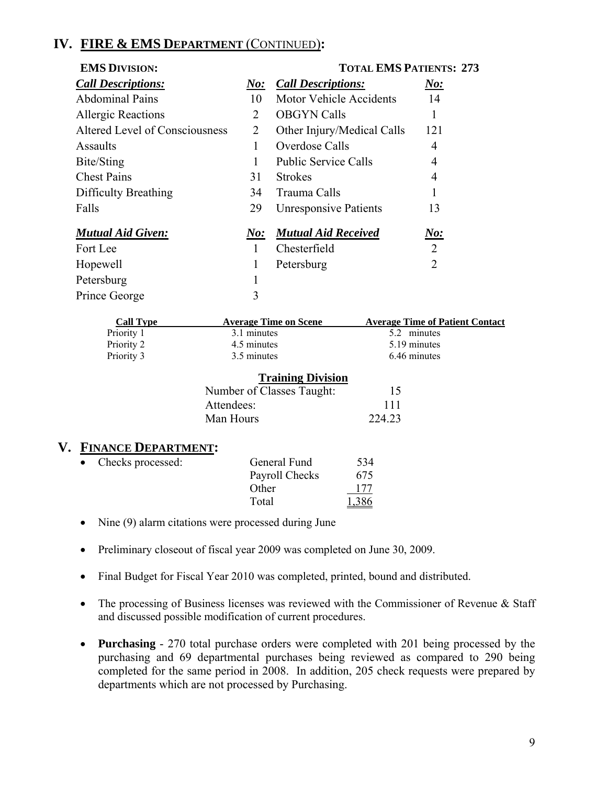## **IV. FIRE & EMS DEPARTMENT** (CONTINUED)**:**

| <b>EMS DIVISION:</b>           |                | <b>TOTAL EMS PATIENTS: 273</b> |                                        |  |
|--------------------------------|----------------|--------------------------------|----------------------------------------|--|
| <b>Call Descriptions:</b>      | $N$ o:         | <b>Call Descriptions:</b>      | $\underline{\textit{No}}$ :            |  |
| <b>Abdominal Pains</b>         | 10             | <b>Motor Vehicle Accidents</b> | 14                                     |  |
| <b>Allergic Reactions</b>      | 2              | <b>OBGYN Calls</b>             |                                        |  |
| Altered Level of Consciousness | $\overline{2}$ | Other Injury/Medical Calls     | 121                                    |  |
| Assaults                       | 1              | Overdose Calls                 | 4                                      |  |
| Bite/Sting                     |                | <b>Public Service Calls</b>    | 4                                      |  |
| <b>Chest Pains</b>             | 31             | <b>Strokes</b>                 | 4                                      |  |
| Difficulty Breathing           | 34             | Trauma Calls                   |                                        |  |
| Falls                          | 29             | <b>Unresponsive Patients</b>   | 13                                     |  |
| <b>Mutual Aid Given:</b>       | N o:           | <b>Mutual Aid Received</b>     | N o:                                   |  |
| Fort Lee                       | $\mathbf{1}$   | Chesterfield                   | $\overline{2}$                         |  |
| Hopewell                       | 1              | Petersburg                     | $\overline{2}$                         |  |
| Petersburg                     |                |                                |                                        |  |
| Prince George                  | 3              |                                |                                        |  |
| <b>Call Type</b>               |                | <b>Average Time on Scene</b>   | <b>Average Time of Patient Contact</b> |  |
| Priority 1                     | 3.1 minutes    |                                | 5.2 minutes                            |  |

| Call Type                                                       | Average Time on Scene | <b>Average Time of Patient Contac</b> |  |  |  |
|-----------------------------------------------------------------|-----------------------|---------------------------------------|--|--|--|
| Priority 1                                                      | 3.1 minutes           | 5.2 minutes                           |  |  |  |
| Priority 2                                                      | 4.5 minutes           | 5.19 minutes                          |  |  |  |
| Priority 3                                                      | 3.5 minutes           | 6.46 minutes                          |  |  |  |
|                                                                 |                       |                                       |  |  |  |
| $\mathbf{T} \dots \mathbf{L} \dots \mathbf{L} \mathbf{L} \dots$ |                       |                                       |  |  |  |

| <b>Training Division</b>  |        |
|---------------------------|--------|
| Number of Classes Taught: | 15     |
| Attendees:                | 111    |
| Man Hours                 | 224.23 |
|                           |        |

#### **V. FINANCE DEPARTMENT:**

| $\bullet$ | Checks processed: | General Fund   | 534   |
|-----------|-------------------|----------------|-------|
|           |                   | Payroll Checks | 675   |
|           |                   | Other          | 177   |
|           |                   | Total          | 1,386 |

- Nine (9) alarm citations were processed during June
- Preliminary closeout of fiscal year 2009 was completed on June 30, 2009.
- Final Budget for Fiscal Year 2010 was completed, printed, bound and distributed.
- The processing of Business licenses was reviewed with the Commissioner of Revenue & Staff and discussed possible modification of current procedures.
- **Purchasing**  270 total purchase orders were completed with 201 being processed by the purchasing and 69 departmental purchases being reviewed as compared to 290 being completed for the same period in 2008. In addition, 205 check requests were prepared by departments which are not processed by Purchasing.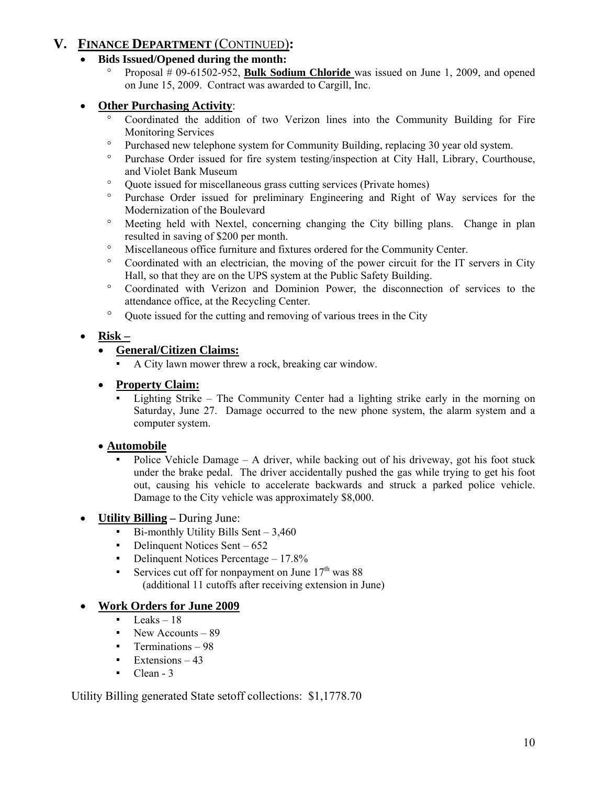## **V. FINANCE DEPARTMENT** (CONTINUED)**:**

- **Bids Issued/Opened during the month:** 
	- ° Proposal # 09-61502-952, **Bulk Sodium Chloride** was issued on June 1, 2009, and opened on June 15, 2009. Contract was awarded to Cargill, Inc.

## • **Other Purchasing Activity**:

- ° Coordinated the addition of two Verizon lines into the Community Building for Fire Monitoring Services
- ° Purchased new telephone system for Community Building, replacing 30 year old system.
- ° Purchase Order issued for fire system testing/inspection at City Hall, Library, Courthouse, and Violet Bank Museum
- ° Quote issued for miscellaneous grass cutting services (Private homes)
- ° Purchase Order issued for preliminary Engineering and Right of Way services for the Modernization of the Boulevard
- ° Meeting held with Nextel, concerning changing the City billing plans. Change in plan resulted in saving of \$200 per month.
- ° Miscellaneous office furniture and fixtures ordered for the Community Center.
- ° Coordinated with an electrician, the moving of the power circuit for the IT servers in City Hall, so that they are on the UPS system at the Public Safety Building.
- ° Coordinated with Verizon and Dominion Power, the disconnection of services to the attendance office, at the Recycling Center.
- ° Quote issued for the cutting and removing of various trees in the City

## • **Risk –**

#### • **General/Citizen Claims:**

A City lawn mower threw a rock, breaking car window.

#### • **Property Claim:**

Lighting Strike – The Community Center had a lighting strike early in the morning on Saturday, June 27. Damage occurred to the new phone system, the alarm system and a computer system.

#### • **Automobile**

Police Vehicle Damage – A driver, while backing out of his driveway, got his foot stuck under the brake pedal. The driver accidentally pushed the gas while trying to get his foot out, causing his vehicle to accelerate backwards and struck a parked police vehicle. Damage to the City vehicle was approximately \$8,000.

#### • **Utility Billing –** During June:

- $Bi$ -monthly Utility Bills Sent 3,460
- Delinquent Notices Sent 652
- **•** Delinquent Notices Percentage 17.8%
- **•** Services cut off for nonpayment on June  $17<sup>th</sup>$  was 88 (additional 11 cutoffs after receiving extension in June)

#### • **Work Orders for June 2009**

- Leaks  $-18$
- New Accounts 89
- Terminations  $-98$
- $\blacksquare$  Extensions 43
- $\blacksquare$  Clean 3

Utility Billing generated State setoff collections: \$1,1778.70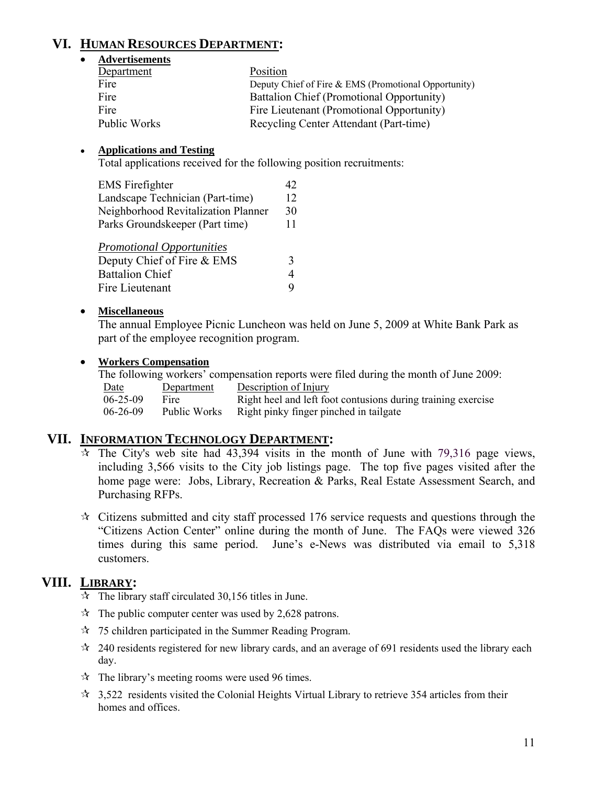## **VI. HUMAN RESOURCES DEPARTMENT:**

#### • **Advertisements**

| Department   | Position                                             |
|--------------|------------------------------------------------------|
| Fire         | Deputy Chief of Fire & EMS (Promotional Opportunity) |
| Fire         | Battalion Chief (Promotional Opportunity)            |
| Fire         | Fire Lieutenant (Promotional Opportunity)            |
| Public Works | Recycling Center Attendant (Part-time)               |

#### ● **Applications and Testing**

Total applications received for the following position recruitments:

| <b>EMS</b> Firefighter              | 42 |
|-------------------------------------|----|
| Landscape Technician (Part-time)    | 12 |
| Neighborhood Revitalization Planner | 30 |
| Parks Groundskeeper (Part time)     | 11 |
| <b>Promotional Opportunities</b>    |    |
| Deputy Chief of Fire & EMS          |    |
|                                     |    |

| D                      |  |
|------------------------|--|
| <b>Battalion Chief</b> |  |
| Fire Lieutenant        |  |

#### • **Miscellaneous**

The annual Employee Picnic Luncheon was held on June 5, 2009 at White Bank Park as part of the employee recognition program.

#### • **Workers Compensation**

The following workers' compensation reports were filed during the month of June 2009:

| Date           | Department   | Description of Injury                                        |
|----------------|--------------|--------------------------------------------------------------|
| $06 - 25 - 09$ | Fire.        | Right heel and left foot contusions during training exercise |
| $06 - 26 - 09$ | Public Works | Right pinky finger pinched in tailgate                       |

#### **VII. INFORMATION TECHNOLOGY DEPARTMENT:**

- $\overline{x}$  The City's web site had 43,394 visits in the month of June with 79,316 page views, including 3,566 visits to the City job listings page. The top five pages visited after the home page were: Jobs, Library, Recreation & Parks, Real Estate Assessment Search, and Purchasing RFPs.
- $\star$  Citizens submitted and city staff processed 176 service requests and questions through the "Citizens Action Center" online during the month of June. The FAQs were viewed 326 times during this same period. June's e-News was distributed via email to 5,318 customers.

## **VIII. LIBRARY:**

- $\overrightarrow{x}$  The library staff circulated 30,156 titles in June.
- $\hat{x}$  The public computer center was used by 2,628 patrons.
- $\approx$  75 children participated in the Summer Reading Program.
- $\approx$  240 residents registered for new library cards, and an average of 691 residents used the library each day.
- $\lambda$  The library's meeting rooms were used 96 times.
- $\approx$  3,522 residents visited the Colonial Heights Virtual Library to retrieve 354 articles from their homes and offices.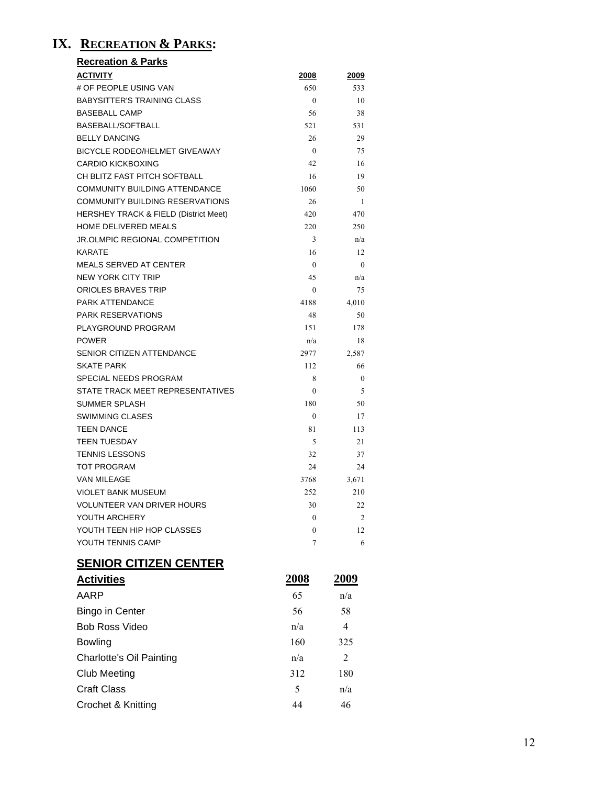## **IX. RECREATION & PARKS:**

| <b>Recreation &amp; Parks</b>                    |                       |               |
|--------------------------------------------------|-----------------------|---------------|
| <b>ACTIVITY</b>                                  | <u> 2008 </u>         | 2009          |
| # OF PEOPLE USING VAN                            | 650                   | 533           |
| <b>BABYSITTER'S TRAINING CLASS</b>               | $\theta$              | 10            |
| <b>BASEBALL CAMP</b>                             | 56                    | 38            |
| <b>BASEBALL/SOFTBALL</b>                         | 521                   | 531           |
| <b>BELLY DANCING</b>                             | 26                    | 29            |
| <b>BICYCLE RODEO/HELMET GIVEAWAY</b>             | $\theta$              | 75            |
| <b>CARDIO KICKBOXING</b>                         | 42                    | 16            |
| CH BLITZ FAST PITCH SOFTBALL                     | 16                    | 19            |
| <b>COMMUNITY BUILDING ATTENDANCE</b>             | 1060                  | 50            |
| <b>COMMUNITY BUILDING RESERVATIONS</b>           | 26                    | 1             |
| <b>HERSHEY TRACK &amp; FIELD (District Meet)</b> | 420                   | 470           |
| HOME DELIVERED MEALS                             | 220                   | 250           |
| <b>JR.OLMPIC REGIONAL COMPETITION</b>            | 3                     | n/a           |
| <b>KARATF</b>                                    | 16                    | 12            |
| <b>MEALS SERVED AT CENTER</b>                    | $\mathbf{0}$          | $\theta$      |
| <b>NEW YORK CITY TRIP</b>                        | 45                    | n/a           |
| ORIOLES BRAVES TRIP                              | $\mathbf{0}$          | 75            |
| PARK ATTENDANCE                                  | 4188                  | 4,010         |
| <b>PARK RESERVATIONS</b>                         | 48                    | 50            |
| PLAYGROUND PROGRAM                               | 151                   | 178           |
| <b>POWER</b>                                     | n/a                   | 18            |
| <b>SENIOR CITIZEN ATTENDANCE</b>                 | 2977                  | 2,587         |
| <b>SKATE PARK</b>                                | 112                   | 66            |
| SPECIAL NEEDS PROGRAM                            | 8                     | 0             |
| STATE TRACK MEET REPRESENTATIVES                 | 0                     | 5             |
| SUMMER SPLASH                                    | 180                   | 50            |
| <b>SWIMMING CLASES</b>                           | $\boldsymbol{0}$      | 17            |
| <b>TEEN DANCE</b>                                | 81                    | 113           |
| <b>TEEN TUESDAY</b>                              | 5                     | 21            |
| <b>TENNIS LESSONS</b>                            | 32                    | 37            |
| TOT PROGRAM                                      | 24                    | 24            |
| <b>VAN MILEAGE</b>                               | 3768                  | 3,671         |
| <b>VIOLET BANK MUSEUM</b>                        | 252                   | 210           |
| VOLUNTEER VAN DRIVER HOURS<br>YOUTH ARCHERY      | 30                    | 22<br>2       |
| YOUTH TEEN HIP HOP CLASSES                       | $\boldsymbol{0}$      | 12            |
| YOUTH TENNIS CAMP                                | $\boldsymbol{0}$<br>7 | 6             |
|                                                  |                       |               |
| <b>SENIOR CITIZEN CENTER</b>                     |                       |               |
| <b>Activities</b>                                | <u> 2008 </u>         | <u> 2009 </u> |
| AARP                                             | 65                    | n/a           |
| <b>Bingo in Center</b>                           | 56                    | 58            |
| <b>Bob Ross Video</b>                            | n/a                   | 4             |
| <b>Bowling</b>                                   | 160                   | 325           |
| <b>Charlotte's Oil Painting</b>                  | n/a                   | 2             |
| <b>Club Meeting</b>                              | 312                   | 180           |
| <b>Craft Class</b>                               | 5                     | n/a           |

Crochet & Knitting 44 46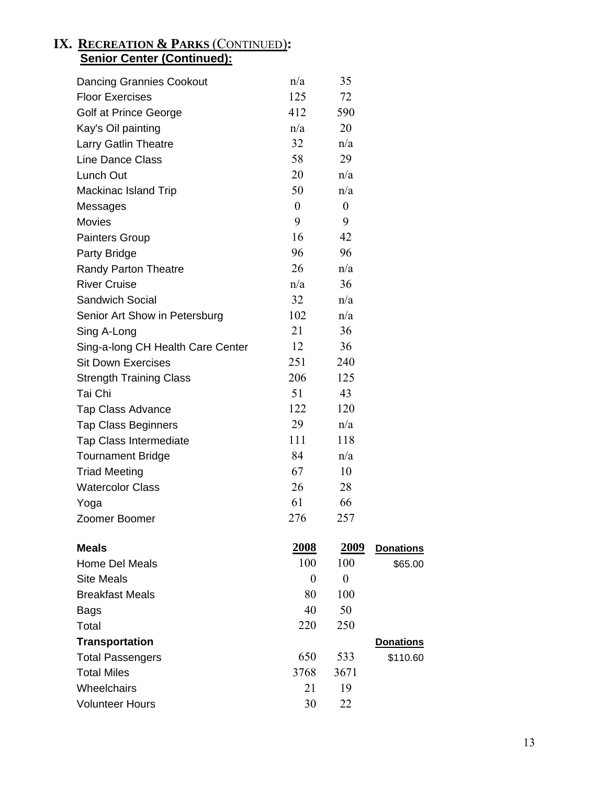#### **IX. RECREATION & PARKS** (CONTINUED)**: Senior Center (Continued):**

| <b>Dancing Grannies Cookout</b>   | n/a            | 35               |                  |
|-----------------------------------|----------------|------------------|------------------|
| <b>Floor Exercises</b>            | 125            | 72               |                  |
| Golf at Prince George             | 412            | 590              |                  |
| Kay's Oil painting                | n/a            | 20               |                  |
| Larry Gatlin Theatre              | 32             | n/a              |                  |
| <b>Line Dance Class</b>           | 58             | 29               |                  |
| Lunch Out                         | 20             | n/a              |                  |
| Mackinac Island Trip              | 50             | n/a              |                  |
| Messages                          | $\overline{0}$ | $\boldsymbol{0}$ |                  |
| <b>Movies</b>                     | 9              | 9                |                  |
| <b>Painters Group</b>             | 16             | 42               |                  |
| Party Bridge                      | 96             | 96               |                  |
| <b>Randy Parton Theatre</b>       | 26             | n/a              |                  |
| <b>River Cruise</b>               | n/a            | 36               |                  |
| Sandwich Social                   | 32             | n/a              |                  |
| Senior Art Show in Petersburg     | 102            | n/a              |                  |
| Sing A-Long                       | 21             | 36               |                  |
| Sing-a-long CH Health Care Center | 12             | 36               |                  |
| <b>Sit Down Exercises</b>         | 251            | 240              |                  |
| <b>Strength Training Class</b>    | 206            | 125              |                  |
| Tai Chi                           | 51             | 43               |                  |
| <b>Tap Class Advance</b>          | 122            | 120              |                  |
| <b>Tap Class Beginners</b>        | 29             | n/a              |                  |
| <b>Tap Class Intermediate</b>     | 111            | 118              |                  |
| <b>Tournament Bridge</b>          | 84             | n/a              |                  |
| <b>Triad Meeting</b>              | 67             | 10               |                  |
| <b>Watercolor Class</b>           | 26             | 28               |                  |
| Yoga                              | 61             | 66               |                  |
| Zoomer Boomer                     | 276            | 257              |                  |
| <b>Meals</b>                      | <u>2008</u>    | 2009             | <b>Donations</b> |
| Home Del Meals                    | 100            | 100              | \$65.00          |
| <b>Site Meals</b>                 | $\theta$       | $\theta$         |                  |
| <b>Breakfast Meals</b>            | 80             | 100              |                  |
| <b>Bags</b>                       | 40             | 50               |                  |
| Total                             | 220            | 250              |                  |
| <b>Transportation</b>             |                |                  | <b>Donations</b> |
| <b>Total Passengers</b>           | 650            | 533              | \$110.60         |
| <b>Total Miles</b>                | 3768           | 3671             |                  |
| Wheelchairs                       | 21             | 19               |                  |
| <b>Volunteer Hours</b>            | 30             | 22               |                  |
|                                   |                |                  |                  |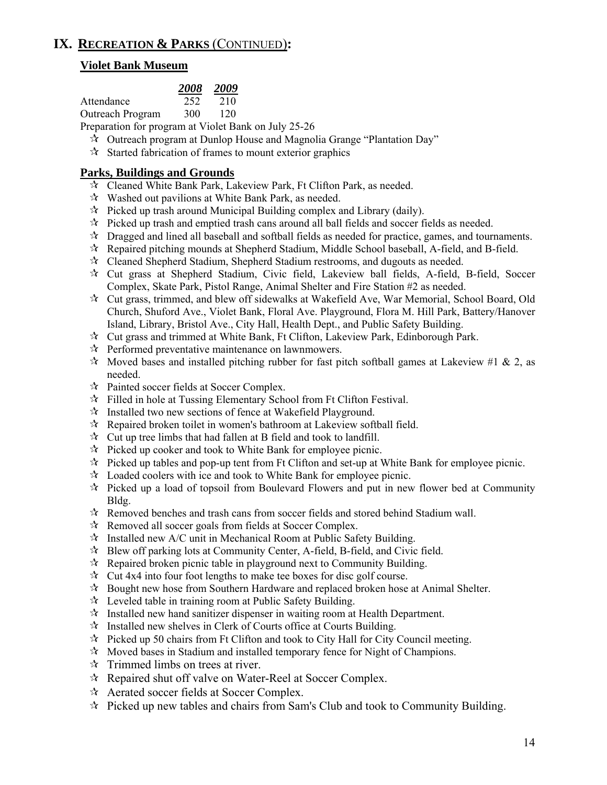## **IX. RECREATION & PARKS** (CONTINUED)**:**

#### **Violet Bank Museum**

|                  | 2008 | 2009 |
|------------------|------|------|
| Attendance       | 252  | 210  |
| Outreach Program | 300  | 120  |

Preparation for program at Violet Bank on July 25-26

- Outreach program at Dunlop House and Magnolia Grange "Plantation Day"
- $\mathcal{R}$  Started fabrication of frames to mount exterior graphics

#### **Parks, Buildings and Grounds**

- Cleaned White Bank Park, Lakeview Park, Ft Clifton Park, as needed.
- $\mathcal{R}$  Washed out pavilions at White Bank Park, as needed.
- $\mathcal{R}$  Picked up trash around Municipal Building complex and Library (daily).
- $\mathcal{R}$  Picked up trash and emptied trash cans around all ball fields and soccer fields as needed.
- $\mathcal{R}$  Dragged and lined all baseball and softball fields as needed for practice, games, and tournaments.
- $\mathcal{R}$  Repaired pitching mounds at Shepherd Stadium, Middle School baseball, A-field, and B-field.
- Cleaned Shepherd Stadium, Shepherd Stadium restrooms, and dugouts as needed.
- Cut grass at Shepherd Stadium, Civic field, Lakeview ball fields, A-field, B-field, Soccer Complex, Skate Park, Pistol Range, Animal Shelter and Fire Station #2 as needed.
- Cut grass, trimmed, and blew off sidewalks at Wakefield Ave, War Memorial, School Board, Old Church, Shuford Ave., Violet Bank, Floral Ave. Playground, Flora M. Hill Park, Battery/Hanover Island, Library, Bristol Ave., City Hall, Health Dept., and Public Safety Building.
- $\mathcal{R}$  Cut grass and trimmed at White Bank, Ft Clifton, Lakeview Park, Edinborough Park.
- $\mathcal{R}$  Performed preventative maintenance on lawnmowers.
- $\star$  Moved bases and installed pitching rubber for fast pitch softball games at Lakeview #1 & 2, as needed.
- Painted soccer fields at Soccer Complex.
- $\mathcal{F}$  Filled in hole at Tussing Elementary School from Ft Clifton Festival.
- Installed two new sections of fence at Wakefield Playground.
- $\mathcal{R}$  Repaired broken toilet in women's bathroom at Lakeview softball field.
- $\mathcal{R}$  Cut up tree limbs that had fallen at B field and took to landfill.
- $\mathcal{R}$  Picked up cooker and took to White Bank for employee picnic.
- $\mathcal{R}$  Picked up tables and pop-up tent from Ft Clifton and set-up at White Bank for employee picnic.
- $\mathcal{R}$  Loaded coolers with ice and took to White Bank for employee picnic.
- $\mathcal{R}$  Picked up a load of topsoil from Boulevard Flowers and put in new flower bed at Community Bldg.
- $\mathcal{R}$  Removed benches and trash cans from soccer fields and stored behind Stadium wall.
- $\mathcal{R}$  Removed all soccer goals from fields at Soccer Complex.
- $\hat{x}$  Installed new A/C unit in Mechanical Room at Public Safety Building.
- Blew off parking lots at Community Center, A-field, B-field, and Civic field.
- $\mathcal{R}$  Repaired broken picnic table in playground next to Community Building.
- $\mathcal{R}$  Cut 4x4 into four foot lengths to make tee boxes for disc golf course.
- $\mathcal{R}$  Bought new hose from Southern Hardware and replaced broken hose at Animal Shelter.
- $\mathcal{R}$  Leveled table in training room at Public Safety Building.
- $\mathcal{R}$  Installed new hand sanitizer dispenser in waiting room at Health Department.
- $\mathcal{R}$  Installed new shelves in Clerk of Courts office at Courts Building.
- $\mathcal{R}$  Picked up 50 chairs from Ft Clifton and took to City Hall for City Council meeting.
- $\mathcal{R}$  Moved bases in Stadium and installed temporary fence for Night of Champions.
- $\mathcal{R}$  Trimmed limbs on trees at river.
- $\mathcal{R}$  Repaired shut off valve on Water-Reel at Soccer Complex.
- Aerated soccer fields at Soccer Complex.
- $\hat{\tau}$  Picked up new tables and chairs from Sam's Club and took to Community Building.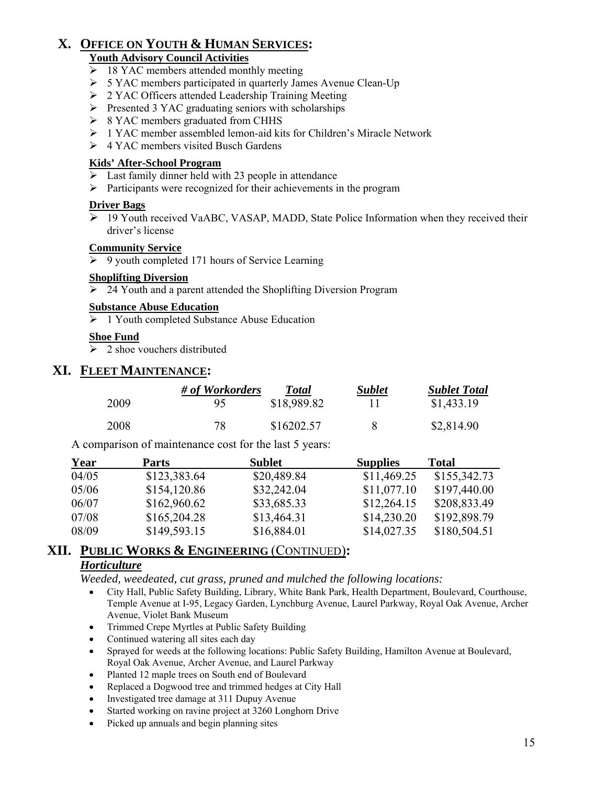## **X. OFFICE ON YOUTH & HUMAN SERVICES:**

#### **Youth Advisory Council Activities**

- $\geq$  18 YAC members attended monthly meeting
- ¾ 5 YAC members participated in quarterly James Avenue Clean-Up
- ¾ 2 YAC Officers attended Leadership Training Meeting
- $\triangleright$  Presented 3 YAC graduating seniors with scholarships
- $\geq 8$  YAC members graduated from CHHS
- $\geq 1$  YAC member assembled lemon-aid kits for Children's Miracle Network
- $\triangleright$  4 YAC members visited Busch Gardens

#### **Kids' After-School Program**

- $\triangleright$  Last family dinner held with 23 people in attendance
- $\triangleright$  Participants were recognized for their achievements in the program

#### **Driver Bags**

¾ 19 Youth received VaABC, VASAP, MADD, State Police Information when they received their driver's license

#### **Community Service**

 $\rightarrow$  9 youth completed 171 hours of Service Learning

#### **Shoplifting Diversion**

 $\geq$  24 Youth and a parent attended the Shoplifting Diversion Program

#### **Substance Abuse Education**

 $\geq 1$  Youth completed Substance Abuse Education

#### **Shoe Fund**

 $\geq$  2 shoe vouchers distributed

#### **XI. FLEET MAINTENANCE:**

|      | # of Workorders | <b>Total</b> | <b>Sublet</b> | <b>Sublet Total</b> |
|------|-----------------|--------------|---------------|---------------------|
| 2009 | 95              | \$18,989.82  |               | \$1,433.19          |
| 2008 | 78              | \$16202.57   |               | \$2,814.90          |

A comparison of maintenance cost for the last 5 years:

| <b>Year</b> | Parts        | Sublet      | <b>Supplies</b> | <b>Total</b> |
|-------------|--------------|-------------|-----------------|--------------|
| 04/05       | \$123,383.64 | \$20,489.84 | \$11,469.25     | \$155,342.73 |
| 05/06       | \$154,120.86 | \$32,242.04 | \$11,077.10     | \$197,440.00 |
| 06/07       | \$162,960.62 | \$33,685.33 | \$12,264.15     | \$208,833.49 |
| 07/08       | \$165,204.28 | \$13,464.31 | \$14,230.20     | \$192,898.79 |
| 08/09       | \$149,593.15 | \$16,884.01 | \$14,027.35     | \$180,504.51 |

## **XII. PUBLIC WORKS & ENGINEERING** (CONTINUED)**:**

#### *Horticulture*

*Weeded, weedeated, cut grass, pruned and mulched the following locations:* 

- City Hall, Public Safety Building, Library, White Bank Park, Health Department, Boulevard, Courthouse, Temple Avenue at I-95, Legacy Garden, Lynchburg Avenue, Laurel Parkway, Royal Oak Avenue, Archer Avenue, Violet Bank Museum
- Trimmed Crepe Myrtles at Public Safety Building
- Continued watering all sites each day
- Sprayed for weeds at the following locations: Public Safety Building, Hamilton Avenue at Boulevard, Royal Oak Avenue, Archer Avenue, and Laurel Parkway
- Planted 12 maple trees on South end of Boulevard
- Replaced a Dogwood tree and trimmed hedges at City Hall
- Investigated tree damage at 311 Dupuy Avenue
- Started working on ravine project at 3260 Longhorn Drive
- Picked up annuals and begin planning sites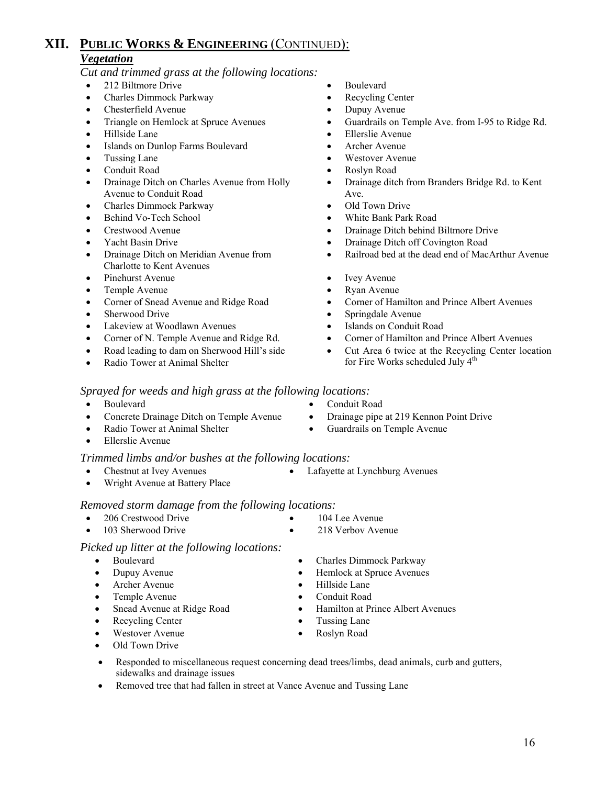#### *Vegetation*

*Cut and trimmed grass at the following locations:* 

- 212 Biltmore Drive Boulevard
- Charles Dimmock Parkway Recycling Center
- Chesterfield Avenue Dupuy Avenue
- 
- 
- Islands on Dunlop Farms Boulevard Archer Avenue
- 
- 
- Drainage Ditch on Charles Avenue from Holly Avenue to Conduit Road
- Charles Dimmock Parkway Old Town Drive
- 
- 
- 
- Drainage Ditch on Meridian Avenue from Charlotte to Kent Avenues
- Pinehurst Avenue Ivey Avenue Ivey Avenue
- 
- 
- 
- Lakeview at Woodlawn Avenues Islands on Conduit Road
- 
- Road leading to dam on Sherwood Hill's side
- Radio Tower at Animal Shelter
- 
- 
- 
- Triangle on Hemlock at Spruce Avenues Guardrails on Temple Ave. from I-95 to Ridge Rd.
- Hillside Lane Ellerslie Avenue
	-
- Tussing Lane Westover Avenue
- Conduit Road Roslyn Road
	- Drainage ditch from Branders Bridge Rd. to Kent Ave.
	-
- **Behind Vo-Tech School** White Bank Park Road
- Crestwood Avenue Drainage Ditch behind Biltmore Drive
- Yacht Basin Drive Drainage Ditch off Covington Road
	- Railroad bed at the dead end of MacArthur Avenue
	-
- Temple Avenue Ryan Avenue
- Corner of Snead Avenue and Ridge Road Corner of Hamilton and Prince Albert Avenues
	- Sherwood Drive Springdale Avenue
		-
	- Corner of N. Temple Avenue and Ridge Rd. Corner of Hamilton and Prince Albert Avenues
		- Cut Area 6 twice at the Recycling Center location for Fire Works scheduled July 4<sup>th</sup>

*Sprayed for weeds and high grass at the following locations:* 

- Boulevard Conduit Road
- Concrete Drainage Ditch on Temple Avenue Drainage pipe at 219 Kennon Point Drive
- **Radio Tower at Animal Shelter Guardrails on Temple Avenue** • Ellerslie Avenue
	-
- *Trimmed limbs and/or bushes at the following locations:*  • Chestnut at Ivey Avenues • Lafayette at Lynchburg Avenues
- Wright Avenue at Battery Place

#### *Removed storm damage from the following locations:*

- 
- 103 Sherwood Drive 218 Verbov Avenue

#### *Picked up litter at the following locations:*

- Boulevard Charles Dimmock Parkway
- 
- 
- 
- 
- 
- 
- Old Town Drive
- Responded to miscellaneous request concerning dead trees/limbs, dead animals, curb and gutters, sidewalks and drainage issues
- Removed tree that had fallen in street at Vance Avenue and Tussing Lane
- 
- 
- 

- Dupuy Avenue Hemlock at Spruce Avenues • Archer Avenue • Hillside Lane
	- Temple Avenue Conduit Road
	- Snead Avenue at Ridge Road Hamilton at Prince Albert Avenues
	- Recycling Center Tussing Lane
	- Westover Avenue Roslyn Road

## • 206 Crestwood Drive • 104 Lee Avenue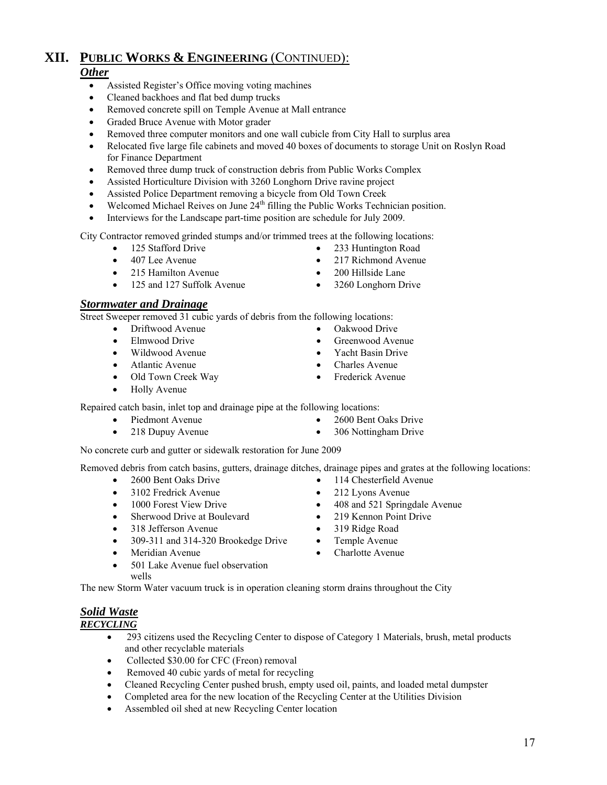#### *Other*

- Assisted Register's Office moving voting machines
- Cleaned backhoes and flat bed dump trucks
- Removed concrete spill on Temple Avenue at Mall entrance
- Graded Bruce Avenue with Motor grader
- Removed three computer monitors and one wall cubicle from City Hall to surplus area
- Relocated five large file cabinets and moved 40 boxes of documents to storage Unit on Roslyn Road for Finance Department
- Removed three dump truck of construction debris from Public Works Complex
- Assisted Horticulture Division with 3260 Longhorn Drive ravine project
- Assisted Police Department removing a bicycle from Old Town Creek
- Welcomed Michael Reives on June  $24<sup>th</sup>$  filling the Public Works Technician position.
- Interviews for the Landscape part-time position are schedule for July 2009.

City Contractor removed grinded stumps and/or trimmed trees at the following locations:

- 
- 
- 215 Hamilton Avenue 200 Hillside Lane
- 125 and 127 Suffolk Avenue 3260 Longhorn Drive

#### *Stormwater and Drainage*

Street Sweeper removed 31 cubic yards of debris from the following locations:

- Driftwood Avenue Oakwood Drive
- 
- Wildwood Avenue Yacht Basin Drive
- 
- Old Town Creek Way Frederick Avenue
- Holly Avenue
- 125 Stafford Drive 233 Huntington Road
- 407 Lee Avenue 217 Richmond Avenue
	-
	-
	-
- Elmwood Drive Greenwood Avenue
	-
	- Atlantic Avenue Charles Avenue
		-

Repaired catch basin, inlet top and drainage pipe at the following locations:

- Piedmont Avenue 2600 Bent Oaks Drive
- 218 Dupuy Avenue 306 Nottingham Drive
- No concrete curb and gutter or sidewalk restoration for June 2009

Removed debris from catch basins, gutters, drainage ditches, drainage pipes and grates at the following locations:

- 
- 3102 Fredrick Avenue 212 Lyons Avenue
- 
- Sherwood Drive at Boulevard 219 Kennon Point Drive
- 318 Jefferson Avenue 319 Ridge Road
- 309-311 and 314-320 Brookedge Drive Temple Avenue
- 
- 501 Lake Avenue fuel observation wells

The new Storm Water vacuum truck is in operation cleaning storm drains throughout the City

- *Solid Waste RECYCLING*
	- 293 citizens used the Recycling Center to dispose of Category 1 Materials, brush, metal products and other recyclable materials
	- Collected \$30.00 for CFC (Freon) removal
	- Removed 40 cubic yards of metal for recycling
	- Cleaned Recycling Center pushed brush, empty used oil, paints, and loaded metal dumpster
	- Completed area for the new location of the Recycling Center at the Utilities Division
	- Assembled oil shed at new Recycling Center location
- 
- 2600 Bent Oaks Drive 114 Chesterfield Avenue
	-
- 1000 Forest View Drive 408 and 521 Springdale Avenue
	-
	-
	-
- Meridian Avenue Charlotte Avenue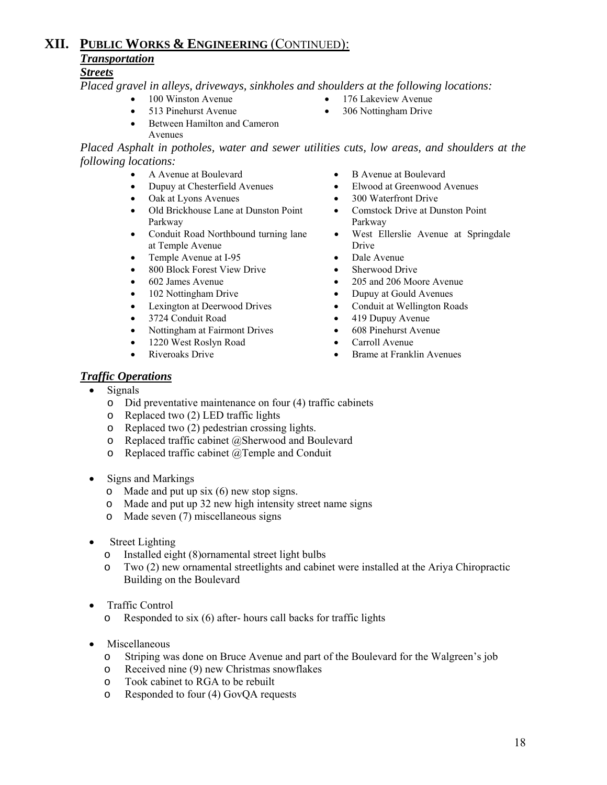## *Transportation*

#### *Streets*

*Placed gravel in alleys, driveways, sinkholes and shoulders at the following locations:* 

- 
- 
- Between Hamilton and Cameron Avenues

*Placed Asphalt in potholes, water and sewer utilities cuts, low areas, and shoulders at the following locations:* 

- 
- 
- Oak at Lyons Avenues 300 Waterfront Drive
- Old Brickhouse Lane at Dunston Point Parkway
- Conduit Road Northbound turning lane at Temple Avenue
- Temple Avenue at I-95 Dale Avenue
- 800 Block Forest View Drive Sherwood Drive
- 
- 
- 
- 
- Nottingham at Fairmont Drives 608 Pinehurst Avenue
- 1220 West Roslyn Road Carroll Avenue
- 
- A Avenue at Boulevard B Avenue at Boulevard
- Dupuy at Chesterfield Avenues Elwood at Greenwood Avenues
	-
	- Comstock Drive at Dunston Point Parkway
	- West Ellerslie Avenue at Springdale Drive
	-
	-
- 602 James Avenue 205 and 206 Moore Avenue
- 102 Nottingham Drive Dupuy at Gould Avenues
	- Lexington at Deerwood Drives Conduit at Wellington Roads
	- 3724 Conduit Road 419 Dupuy Avenue
		-
		-
	- Riveroaks Drive Brame at Franklin Avenues

#### *Traffic Operations*

- Signals
	- o Did preventative maintenance on four (4) traffic cabinets
	- o Replaced two (2) LED traffic lights
	- o Replaced two (2) pedestrian crossing lights.
	- o Replaced traffic cabinet @Sherwood and Boulevard
	- o Replaced traffic cabinet @Temple and Conduit
- Signs and Markings
	- $\circ$  Made and put up six (6) new stop signs.
	- o Made and put up 32 new high intensity street name signs
	- o Made seven (7) miscellaneous signs
- Street Lighting
	- o Installed eight (8)ornamental street light bulbs
	- o Two (2) new ornamental streetlights and cabinet were installed at the Ariya Chiropractic Building on the Boulevard
- Traffic Control
	- o Responded to six (6) after- hours call backs for traffic lights
- Miscellaneous
	- o Striping was done on Bruce Avenue and part of the Boulevard for the Walgreen's job
	- o Received nine (9) new Christmas snowflakes
	- o Took cabinet to RGA to be rebuilt
	- o Responded to four (4) GovQA requests
- 100 Winston Avenue 176 Lakeview Avenue
- 513 Pinehurst Avenue 306 Nottingham Drive
-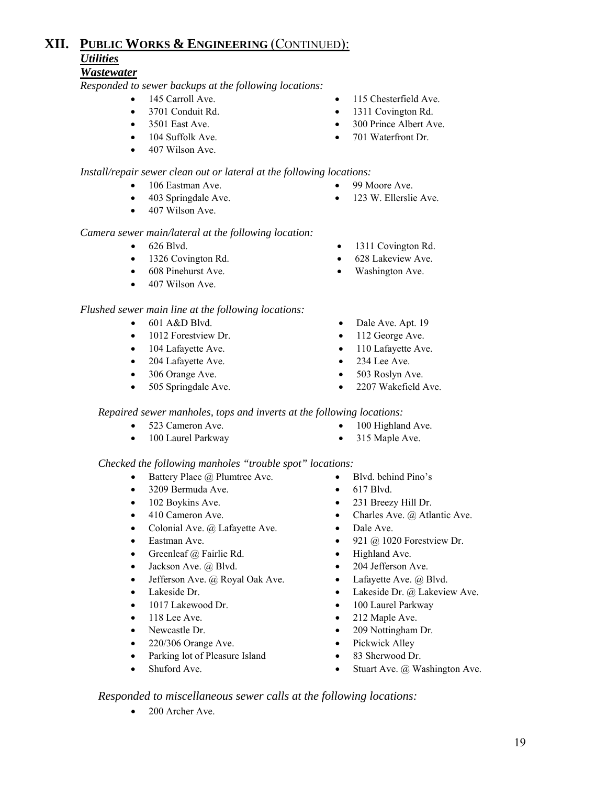#### *Wastewater*

*Responded to sewer backups at the following locations:*

- 
- 
- 
- 
- 407 Wilson Ave.

#### *Install/repair sewer clean out or lateral at the following locations:*

- 106 Eastman Ave. 99 Moore Ave.
- 
- 407 Wilson Ave.

#### *Camera sewer main/lateral at the following location:*

- 
- 1326 Covington Rd. 628 Lakeview Ave.
- 608 Pinehurst Ave. Washington Ave.
- 407 Wilson Ave.

#### *Flushed sewer main line at the following locations:*

- 
- 1012 Forestview Dr. 112 George Ave.
- 104 Lafayette Ave. 110 Lafayette Ave.
- 204 Lafayette Ave. 234 Lee Ave.
- 
- 
- 145 Carroll Ave. 115 Chesterfield Ave.
- 3701 Conduit Rd. 1311 Covington Rd.
	- 3501 East Ave. 300 Prince Albert Ave.
- 104 Suffolk Ave. 701 Waterfront Dr.
	-
- 403 Springdale Ave. 123 W. Ellerslie Ave.
- 626 Blvd. 1311 Covington Rd.
	-
	-
- 601 A&D Blvd. Dale Ave. Apt. 19
	-
	-
	-
	- 306 Orange Ave. 503 Roslyn Ave.
	- 505 Springdale Ave. 2207 Wakefield Ave.

#### *Repaired sewer manholes, tops and inverts at the following locations:*

- 
- 100 Laurel Parkway 315 Maple Ave.
- *Checked the following manholes "trouble spot" locations:*  • Battery Place @ Plumtree Ave. • Blvd. behind Pino's
	- 3209 Bermuda Ave. 617 Blvd.
	- 102 Boykins Ave. 231 Breezy Hill Dr.
	- 410 Cameron Ave. Charles Ave. @ Atlantic Ave.
		- Colonial Ave. @ Lafayette Ave. Dale Ave.
	- Eastman Ave. 921 @ 1020 Forestview Dr.
		- Greenleaf @ Fairlie Rd. Highland Ave.
		- Jackson Ave. @ Blvd. 204 Jefferson Ave.
		- Jefferson Ave. @ Royal Oak Ave. Lafayette Ave. @ Blvd.
	- Lakeside Dr. Lakeside Dr. @ Lakeview Ave.
		- 1017 Lakewood Dr. 100 Laurel Parkway
		- 118 Lee Ave. **•** 212 Maple Ave.
		- Newcastle Dr. 209 Nottingham Dr.
		- 220/306 Orange Ave. Pickwick Alley
		- Parking lot of Pleasure Island 83 Sherwood Dr.
	- Shuford Ave. Stuart Ave. @ Washington Ave.

#### *Responded to miscellaneous sewer calls at the following locations:*

• 200 Archer Ave.

- 
- 
- 
- 
- 
- 
- 
- 523 Cameron Ave. 100 Highland Ave.
- 
-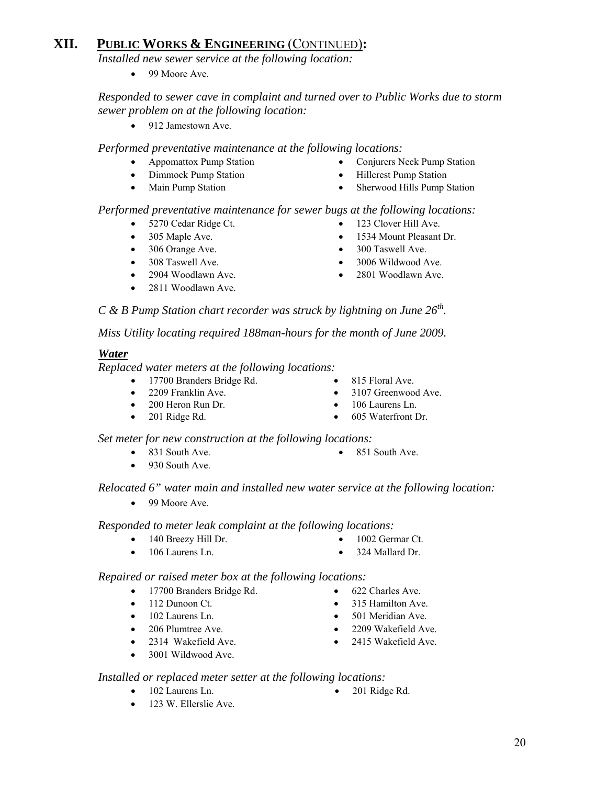*Installed new sewer service at the following location:* 

• 99 Moore Ave.

#### *Responded to sewer cave in complaint and turned over to Public Works due to storm sewer problem on at the following location:*

• 912 Jamestown Ave.

*Performed preventative maintenance at the following locations:* 

- 
- Dimmock Pump Station Hillcrest Pump Station
- 
- Appomattox Pump Station Conjurers Neck Pump Station
	-
- Main Pump Station Sherwood Hills Pump Station

#### *Performed preventative maintenance for sewer bugs at the following locations:*

- 
- 
- 
- 
- 
- 2811 Woodlawn Ave.
- 
- 5270 Cedar Ridge Ct. 123 Clover Hill Ave.
- 305 Maple Ave. 1534 Mount Pleasant Dr.
- 306 Orange Ave. 300 Taswell Ave.
	- 308 Taswell Ave. 3006 Wildwood Ave.
	- 2904 Woodlawn Ave. 2801 Woodlawn Ave.

*C & B Pump Station chart recorder was struck by lightning on June 26th.* 

*Miss Utility locating required 188man-hours for the month of June 2009.* 

#### *Water*

*Replaced water meters at the following locations:* 

- 17700 Branders Bridge Rd. 815 Floral Ave.
- 
- 
- 2209 Franklin Ave. 3107 Greenwood Ave.
- 200 Heron Run Dr. 106 Laurens Ln.
	-

 *Set meter for new construction at the following locations:* 

- 831 South Ave. 851 South Ave.
- 
- 930 South Ave.
- *Relocated 6" water main and installed new water service at the following location:* 
	- 99 Moore Ave.

 *Responded to meter leak complaint at the following locations:* 

- 140 Breezy Hill Dr. 1002 Germar Ct.
- 106 Laurens Ln. 324 Mallard Dr.
- -

*Repaired or raised meter box at the following locations:* 

*Installed or replaced meter setter at the following locations:*

- 17700 Branders Bridge Rd. 622 Charles Ave.
- 
- 
- 
- 2314 Wakefield Ave. 2415 Wakefield Ave.
- 3001 Wildwood Ave.

• 123 W. Ellerslie Ave.

- 
- 112 Dunoon Ct. 315 Hamilton Ave.
- 102 Laurens Ln. 501 Meridian Ave.
- 206 Plumtree Ave. 2209 Wakefield Ave.
	-
- 102 Laurens Ln. 201 Ridge Rd.

- 
- -
- 

• 201 Ridge Rd. • 605 Waterfront Dr.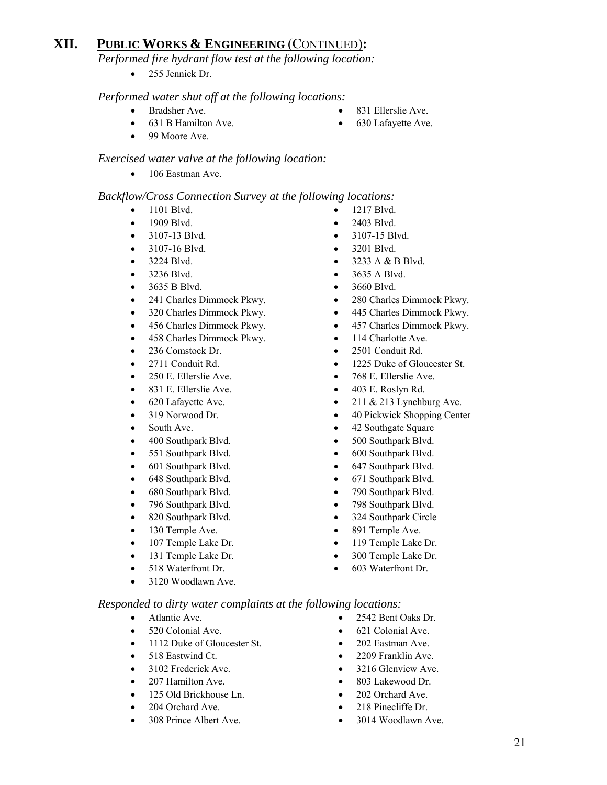*Performed fire hydrant flow test at the following location:* 

• 255 Jennick Dr.

#### *Performed water shut off at the following locations:*

- 
- 
- 99 Moore Ave.

#### *Exercised water valve at the following location:*

• 106 Eastman Ave.

#### *Backflow/Cross Connection Survey at the following locations:*

- 1101 Blvd. 1217 Blvd.
- 1909 Blvd. 2403 Blvd.
- 3107-13 Blvd. 3107-15 Blvd.
- 
- 
- 
- 
- 
- 
- 456 Charles Dimmock Pkwy. 457 Charles Dimmock Pkwy.
- 458 Charles Dimmock Pkwy. 114 Charlotte Ave.
- 236 Comstock Dr. 2501 Conduit Rd.
- 
- 
- 
- 
- 
- 
- 400 Southpark Blvd. 500 Southpark Blvd.
- 551 Southpark Blvd. 600 Southpark Blvd.
- 
- 648 Southpark Blvd. 671 Southpark Blvd.
- 
- 
- 820 Southpark Blvd. 324 Southpark Circle
- 
- 
- 
- 
- 3120 Woodlawn Ave.

#### *Responded to dirty water complaints at the following locations:*

- 
- 
- 1112 Duke of Gloucester St. 202 Eastman Ave.
- 
- 
- 
- 125 Old Brickhouse Ln. 202 Orchard Ave.
- 
- 
- 
- 
- 
- 3107-16 Blvd. 3201 Blvd.
- 3224 Blvd. 3233 A & B Blvd.
- 3236 Blvd. 3635 A Blvd.
- 3635 B Blvd. 3660 Blvd.
- 241 Charles Dimmock Pkwy. 280 Charles Dimmock Pkwy.
	- 320 Charles Dimmock Pkwy. 445 Charles Dimmock Pkwy.
		-
		-
		-
- 2711 Conduit Rd. 1225 Duke of Gloucester St.
	- 250 E. Ellerslie Ave. 768 E. Ellerslie Ave.
	- 831 E. Ellerslie Ave. 403 E. Roslyn Rd.
- 620 Lafayette Ave. 211 & 213 Lynchburg Ave.
- 319 Norwood Dr. 40 Pickwick Shopping Center
	- South Ave. 42 Southgate Square
		-
		-
- 601 Southpark Blvd. 647 Southpark Blvd.
	-
	- 680 Southpark Blvd. 790 Southpark Blvd.
	- 796 Southpark Blvd. 798 Southpark Blvd.
		-
- 130 Temple Ave. 891 Temple Ave.
	- 107 Temple Lake Dr. 119 Temple Lake Dr.
	- 131 Temple Lake Dr. 300 Temple Lake Dr.
	- 518 Waterfront Dr. 603 Waterfront Dr.
	- Atlantic Ave. 2542 Bent Oaks Dr.
	- 520 Colonial Ave. 621 Colonial Ave.
		-
	- 518 Eastwind Ct. 2209 Franklin Ave.
	- 3102 Frederick Ave. 3216 Glenview Ave.
	- 207 Hamilton Ave. 803 Lakewood Dr.
		-
	- 204 Orchard Ave. 218 Pinecliffe Dr.
	- 308 Prince Albert Ave. 3014 Woodlawn Ave.
- **Bradsher Ave.** 831 Ellerslie Ave.
- 631 B Hamilton Ave. 630 Lafayette Ave.